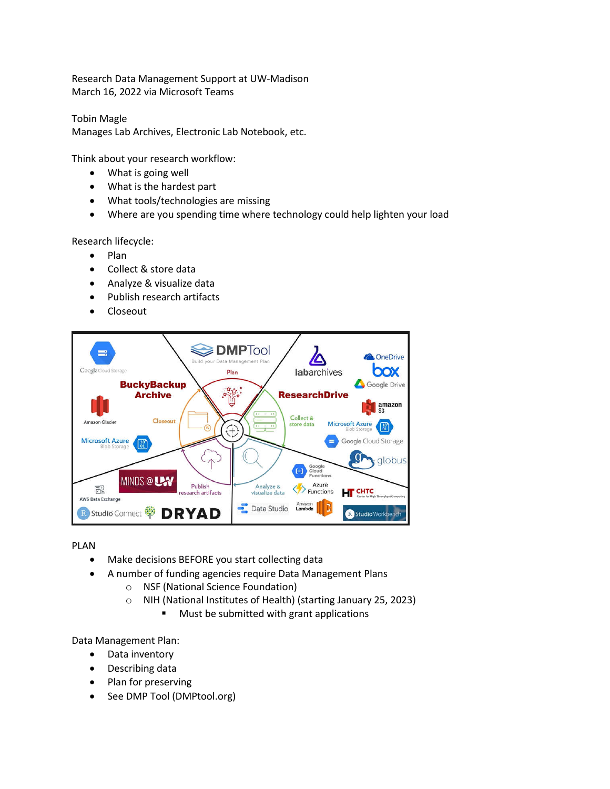Research Data Management Support at UW-Madison March 16, 2022 via Microsoft Teams

Tobin Magle Manages Lab Archives, Electronic Lab Notebook, etc.

Think about your research workflow:

- What is going well
- What is the hardest part
- What tools/technologies are missing
- Where are you spending time where technology could help lighten your load

Research lifecycle:

- Plan
- Collect & store data
- Analyze & visualize data
- Publish research artifacts
- Closeout



PLAN

- Make decisions BEFORE you start collecting data
- A number of funding agencies require Data Management Plans
	- o NSF (National Science Foundation)
	- o NIH (National Institutes of Health) (starting January 25, 2023)
		- **Must be submitted with grant applications**

Data Management Plan:

- Data inventory
- Describing data
- Plan for preserving
- See DMP Tool (DMPtool.org)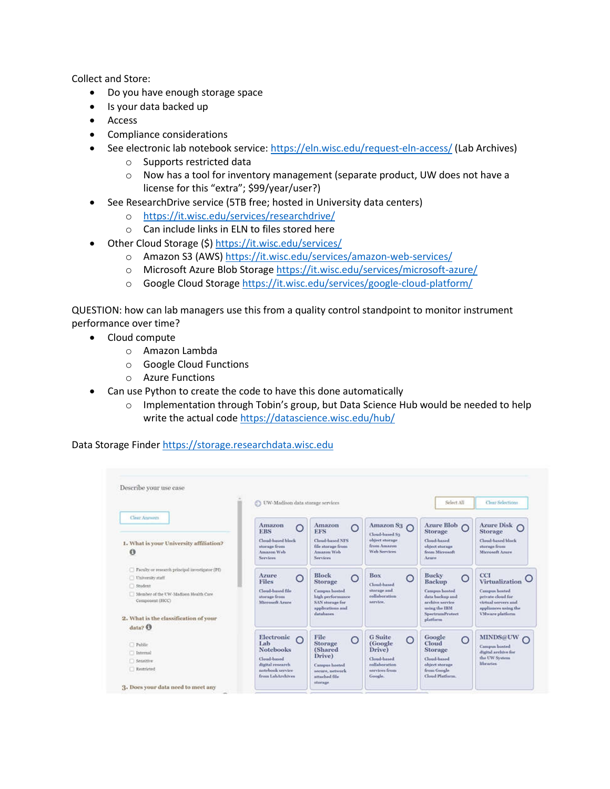Collect and Store:

- Do you have enough storage space
- Is your data backed up
- Access
- Compliance considerations
- See electronic lab notebook service: https://eln.wisc.edu/request-eln-access/ (Lab Archives)
	- o Supports restricted data
	- o Now has a tool for inventory management (separate product, UW does not have a license for this "extra"; \$99/year/user?)
- See ResearchDrive service (5TB free; hosted in University data centers)
	- o https://it.wisc.edu/services/researchdrive/
	- o Can include links in ELN to files stored here
- Other Cloud Storage (\$) https://it.wisc.edu/services/
	- o Amazon S3 (AWS) https://it.wisc.edu/services/amazon-web-services/
	- o Microsoft Azure Blob Storage https://it.wisc.edu/services/microsoft-azure/
	- o Google Cloud Storage https://it.wisc.edu/services/google-cloud-platform/

QUESTION: how can lab managers use this from a quality control standpoint to monitor instrument performance over time?

- Cloud compute
	- o Amazon Lambda
	- o Google Cloud Functions
	- o Azure Functions
	- Can use Python to create the code to have this done automatically
		- $\circ$  Implementation through Tobin's group, but Data Science Hub would be needed to help write the actual code https://datascience.wisc.edu/hub/

Data Storage Finder https://storage.researchdata.wisc.edu

|                                                                                                                                                                                                                | S UW-Madison data storage services                                                                                            |                                                                                                                                           |                                                                                                        | Select All                                                                                                                                                | Clear Selections                                                                                                                            |
|----------------------------------------------------------------------------------------------------------------------------------------------------------------------------------------------------------------|-------------------------------------------------------------------------------------------------------------------------------|-------------------------------------------------------------------------------------------------------------------------------------------|--------------------------------------------------------------------------------------------------------|-----------------------------------------------------------------------------------------------------------------------------------------------------------|---------------------------------------------------------------------------------------------------------------------------------------------|
| <b>Clear Amoviru</b><br>1. What is your University affiliation?<br>$\theta$                                                                                                                                    | Amazon<br>O<br><b>ERS</b><br>Cloud-hased block<br>storage from<br>Amazon Web<br>Services.                                     | Amazon<br>O<br><b>EFS</b><br>Claud-based NFS<br>file storage from<br>Amazon Web<br>Services                                               | Amazon S <sub>3</sub> $\bigcap$<br>Cloud-based S3<br>abbert storage<br>from Amazon<br>Wab Services     | Azure Blob O<br>Storage<br>Cloud-based<br>object storage<br>from Microsoft<br>Artere.                                                                     | Azure Disk O<br>Storage<br>Cloud-based block<br>storage from<br>Microscopt Armye                                                            |
| Faculty or research principal investigator (Pf)<br>University staff<br><b>Student</b><br>Member of the UW-Madison Health Care<br>Component (HCC)<br>2. What is the classification of your<br>$_{\text{data2}}$ | Azure<br>O<br>Files<br>Cloud-basied file<br>atorage from<br>Microsoft Arace                                                   | <b>Block</b><br>$\circ$<br><b>Storage</b><br>Campus bosted<br>high performance<br><b>SAN</b> storage for<br>applications and<br>databases | <b>Box</b><br>O<br>Cloud-based.<br>storage and<br>collaboration<br>service.                            | <b>Bucky</b><br>O<br><b>Backup</b><br><b>Canipus</b> hosted<br>data backup and<br>archive service.<br>using the IBM<br><b>SpectrumProtect</b><br>platform | CCI<br>Virtualization<br><b>Campus heated</b><br>private cloud for<br>strtual servers and<br>appliances using the<br><b>VMware</b> platform |
| <sup>7</sup> ublic<br>[7] Internal<br><b>Separtive</b><br>Restricted                                                                                                                                           | Electronic<br>$\Omega$<br>Lab<br><b>Notebooks</b><br>Cloud-hased<br>digital research.<br>notebook service<br>from LahArchives | File<br>O<br><b>Storage</b><br>(Shared<br>Drive)<br>Campus hosted<br>secure, network.<br>attached file<br>storage                         | <b>G</b> Suite<br>O<br>(Google)<br>Drive)<br>Cloud-based<br>collaboration.<br>services from<br>Google. | Google<br>$\circ$<br>Cloud<br>Storage<br>Cloud-based<br>object storage<br>from Google<br>Cloud Platform.                                                  | <b>MINDS@UW</b><br>Campus hosted<br>digital archive for<br>the UW System<br>libraries.                                                      |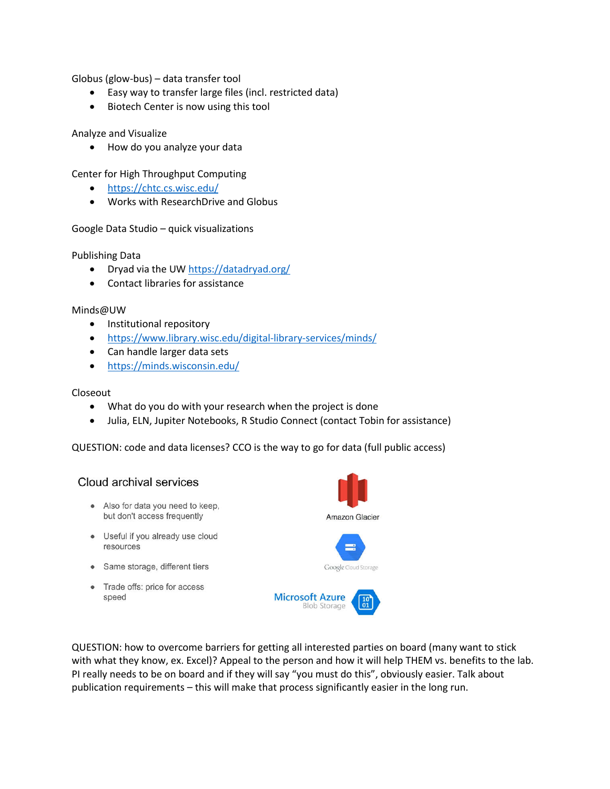Globus (glow-bus) – data transfer tool

- Easy way to transfer large files (incl. restricted data)
- **•** Biotech Center is now using this tool

# Analyze and Visualize

How do you analyze your data

Center for High Throughput Computing

- https://chtc.cs.wisc.edu/
- Works with ResearchDrive and Globus

# Google Data Studio – quick visualizations

#### Publishing Data

- Dryad via the UW https://datadryad.org/
- Contact libraries for assistance

#### Minds@UW

- Institutional repository
- https://www.library.wisc.edu/digital-library-services/minds/
- Can handle larger data sets
- https://minds.wisconsin.edu/

### Closeout

- What do you do with your research when the project is done
- Julia, ELN, Jupiter Notebooks, R Studio Connect (contact Tobin for assistance)

QUESTION: code and data licenses? CCO is the way to go for data (full public access)

# Cloud archival services

- Also for data you need to keep, but don't access frequently
- Useful if you already use cloud resources
- Same storage, different tiers
- Trade offs: price for access speed





QUESTION: how to overcome barriers for getting all interested parties on board (many want to stick with what they know, ex. Excel)? Appeal to the person and how it will help THEM vs. benefits to the lab. PI really needs to be on board and if they will say "you must do this", obviously easier. Talk about publication requirements – this will make that process significantly easier in the long run.